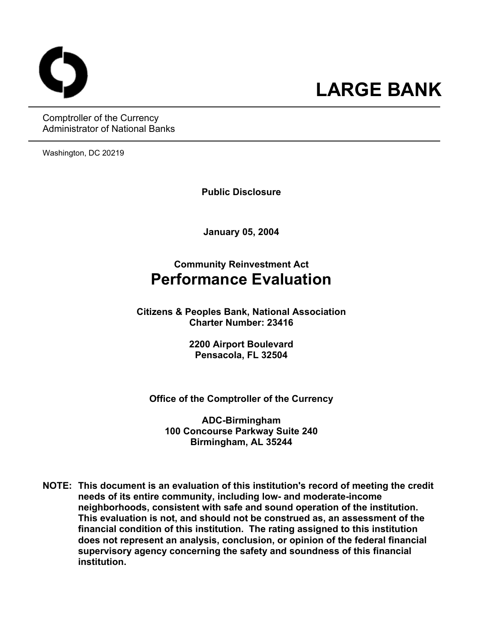Comptroller of the Currency Administrator of National Banks

Washington, DC 20219

**Public Disclosure** 

**January 05, 2004** 

# **Community Reinvestment Act Performance Evaluation**

**Citizens & Peoples Bank, National Association Charter Number: 23416** 

> **2200 Airport Boulevard Pensacola, FL 32504**

**Office of the Comptroller of the Currency** 

**ADC-Birmingham 100 Concourse Parkway Suite 240 Birmingham, AL 35244** 

**NOTE: This document is an evaluation of this institution's record of meeting the credit needs of its entire community, including low- and moderate-income neighborhoods, consistent with safe and sound operation of the institution.** **This evaluation is not, and should not be construed as, an assessment of the financial condition of this institution. The rating assigned to this institution does not represent an analysis, conclusion, or opinion of the federal financial supervisory agency concerning the safety and soundness of this financial institution.**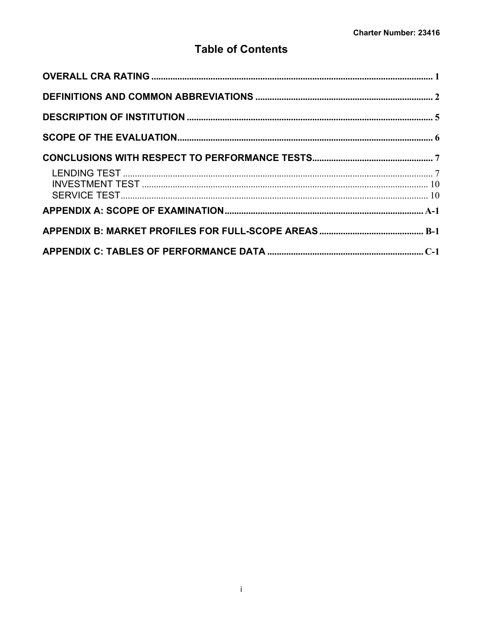# **Table of Contents**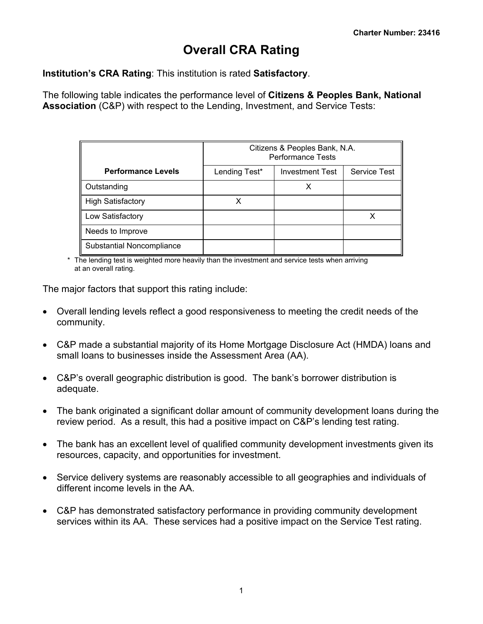# **Overall CRA Rating**

<span id="page-2-0"></span>**Institution's CRA Rating**: This institution is rated **Satisfactory**.

The following table indicates the performance level of **Citizens & Peoples Bank, National Association** (C&P) with respect to the Lending, Investment, and Service Tests:

|                                  |               | Citizens & Peoples Bank, N.A.<br><b>Performance Tests</b> |              |
|----------------------------------|---------------|-----------------------------------------------------------|--------------|
| <b>Performance Levels</b>        | Lending Test* | <b>Investment Test</b>                                    | Service Test |
| Outstanding                      |               |                                                           |              |
| <b>High Satisfactory</b>         |               |                                                           |              |
| Low Satisfactory                 |               |                                                           |              |
| Needs to Improve                 |               |                                                           |              |
| <b>Substantial Noncompliance</b> |               |                                                           |              |

\* The lending test is weighted more heavily than the investment and service tests when arriving at an overall rating.

The major factors that support this rating include:

- Overall lending levels reflect a good responsiveness to meeting the credit needs of the community.
- C&P made a substantial majority of its Home Mortgage Disclosure Act (HMDA) loans and small loans to businesses inside the Assessment Area (AA).
- C&P's overall geographic distribution is good. The bank's borrower distribution is adequate.
- The bank originated a significant dollar amount of community development loans during the review period. As a result, this had a positive impact on C&P's lending test rating.
- The bank has an excellent level of qualified community development investments given its resources, capacity, and opportunities for investment.
- Service delivery systems are reasonably accessible to all geographies and individuals of different income levels in the AA.
- C&P has demonstrated satisfactory performance in providing community development services within its AA. These services had a positive impact on the Service Test rating.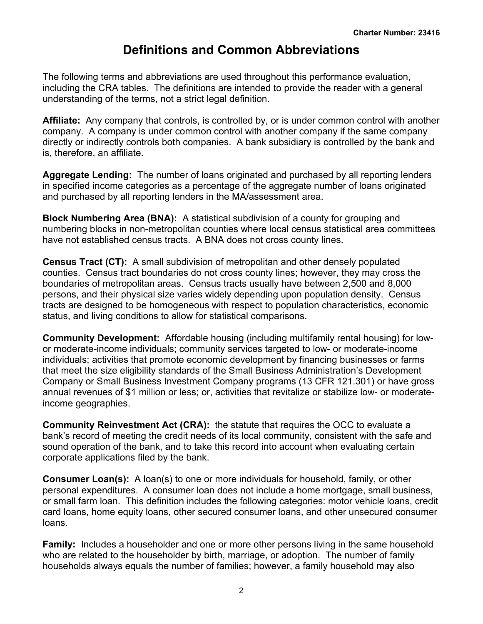# **Definitions and Common Abbreviations**

<span id="page-3-0"></span>The following terms and abbreviations are used throughout this performance evaluation, including the CRA tables. The definitions are intended to provide the reader with a general understanding of the terms, not a strict legal definition.

**Affiliate:** Any company that controls, is controlled by, or is under common control with another company. A company is under common control with another company if the same company directly or indirectly controls both companies. A bank subsidiary is controlled by the bank and is, therefore, an affiliate.

**Aggregate Lending:** The number of loans originated and purchased by all reporting lenders in specified income categories as a percentage of the aggregate number of loans originated and purchased by all reporting lenders in the MA/assessment area.

**Block Numbering Area (BNA):** A statistical subdivision of a county for grouping and numbering blocks in non-metropolitan counties where local census statistical area committees have not established census tracts. A BNA does not cross county lines.

**Census Tract (CT):** A small subdivision of metropolitan and other densely populated counties. Census tract boundaries do not cross county lines; however, they may cross the boundaries of metropolitan areas. Census tracts usually have between 2,500 and 8,000 persons, and their physical size varies widely depending upon population density. Census tracts are designed to be homogeneous with respect to population characteristics, economic status, and living conditions to allow for statistical comparisons.

**Community Development:** Affordable housing (including multifamily rental housing) for lowor moderate-income individuals; community services targeted to low- or moderate-income individuals; activities that promote economic development by financing businesses or farms that meet the size eligibility standards of the Small Business Administration's Development Company or Small Business Investment Company programs (13 CFR 121.301) or have gross annual revenues of \$1 million or less; or, activities that revitalize or stabilize low- or moderateincome geographies.

**Community Reinvestment Act (CRA):** the statute that requires the OCC to evaluate a bank's record of meeting the credit needs of its local community, consistent with the safe and sound operation of the bank, and to take this record into account when evaluating certain corporate applications filed by the bank.

**Consumer Loan(s):** A loan(s) to one or more individuals for household, family, or other personal expenditures. A consumer loan does not include a home mortgage, small business, or small farm loan. This definition includes the following categories: motor vehicle loans, credit card loans, home equity loans, other secured consumer loans, and other unsecured consumer loans.

**Family:** Includes a householder and one or more other persons living in the same household who are related to the householder by birth, marriage, or adoption. The number of family households always equals the number of families; however, a family household may also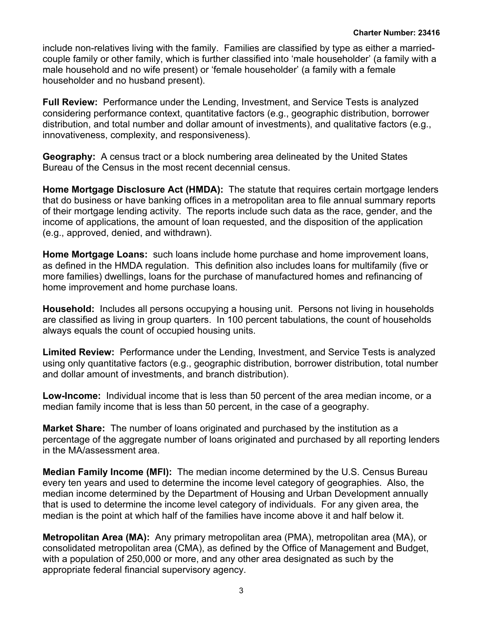include non-relatives living with the family. Families are classified by type as either a marriedcouple family or other family, which is further classified into 'male householder' (a family with a male household and no wife present) or 'female householder' (a family with a female householder and no husband present).

**Full Review:** Performance under the Lending, Investment, and Service Tests is analyzed considering performance context, quantitative factors (e.g., geographic distribution, borrower distribution, and total number and dollar amount of investments), and qualitative factors (e.g., innovativeness, complexity, and responsiveness).

**Geography:** A census tract or a block numbering area delineated by the United States Bureau of the Census in the most recent decennial census.

**Home Mortgage Disclosure Act (HMDA):** The statute that requires certain mortgage lenders that do business or have banking offices in a metropolitan area to file annual summary reports of their mortgage lending activity. The reports include such data as the race, gender, and the income of applications, the amount of loan requested, and the disposition of the application (e.g., approved, denied, and withdrawn).

**Home Mortgage Loans:** such loans include home purchase and home improvement loans, as defined in the HMDA regulation. This definition also includes loans for multifamily (five or more families) dwellings, loans for the purchase of manufactured homes and refinancing of home improvement and home purchase loans.

**Household:** Includes all persons occupying a housing unit. Persons not living in households are classified as living in group quarters. In 100 percent tabulations, the count of households always equals the count of occupied housing units.

**Limited Review:** Performance under the Lending, Investment, and Service Tests is analyzed using only quantitative factors (e.g., geographic distribution, borrower distribution, total number and dollar amount of investments, and branch distribution).

**Low-Income:** Individual income that is less than 50 percent of the area median income, or a median family income that is less than 50 percent, in the case of a geography.

**Market Share:** The number of loans originated and purchased by the institution as a percentage of the aggregate number of loans originated and purchased by all reporting lenders in the MA/assessment area.

**Median Family Income (MFI):** The median income determined by the U.S. Census Bureau every ten years and used to determine the income level category of geographies. Also, the median income determined by the Department of Housing and Urban Development annually that is used to determine the income level category of individuals. For any given area, the median is the point at which half of the families have income above it and half below it.

**Metropolitan Area (MA):** Any primary metropolitan area (PMA), metropolitan area (MA), or consolidated metropolitan area (CMA), as defined by the Office of Management and Budget, with a population of 250,000 or more, and any other area designated as such by the appropriate federal financial supervisory agency.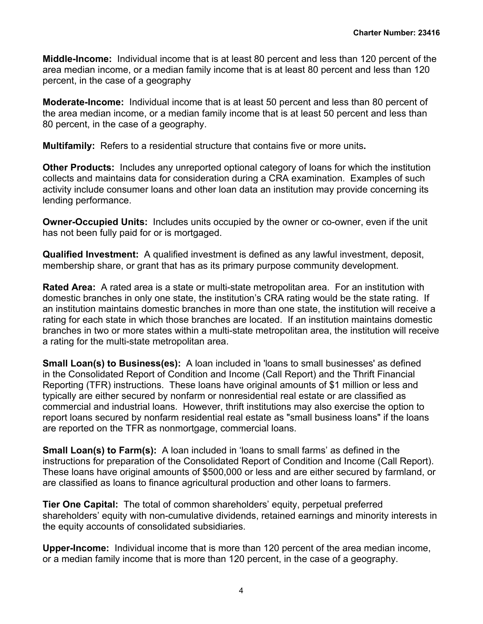**Middle-Income:** Individual income that is at least 80 percent and less than 120 percent of the area median income, or a median family income that is at least 80 percent and less than 120 percent, in the case of a geography

**Moderate-Income:** Individual income that is at least 50 percent and less than 80 percent of the area median income, or a median family income that is at least 50 percent and less than 80 percent, in the case of a geography.

**Multifamily:** Refers to a residential structure that contains five or more units**.**

**Other Products:** Includes any unreported optional category of loans for which the institution collects and maintains data for consideration during a CRA examination. Examples of such activity include consumer loans and other loan data an institution may provide concerning its lending performance.

**Owner-Occupied Units:** Includes units occupied by the owner or co-owner, even if the unit has not been fully paid for or is mortgaged.

**Qualified Investment:** A qualified investment is defined as any lawful investment, deposit, membership share, or grant that has as its primary purpose community development.

**Rated Area:** A rated area is a state or multi-state metropolitan area. For an institution with domestic branches in only one state, the institution's CRA rating would be the state rating. If an institution maintains domestic branches in more than one state, the institution will receive a rating for each state in which those branches are located. If an institution maintains domestic branches in two or more states within a multi-state metropolitan area, the institution will receive a rating for the multi-state metropolitan area.

**Small Loan(s) to Business(es):** A loan included in 'loans to small businesses' as defined in the Consolidated Report of Condition and Income (Call Report) and the Thrift Financial Reporting (TFR) instructions. These loans have original amounts of \$1 million or less and typically are either secured by nonfarm or nonresidential real estate or are classified as commercial and industrial loans. However, thrift institutions may also exercise the option to report loans secured by nonfarm residential real estate as "small business loans" if the loans are reported on the TFR as nonmortgage, commercial loans.

**Small Loan(s) to Farm(s):** A loan included in 'loans to small farms' as defined in the instructions for preparation of the Consolidated Report of Condition and Income (Call Report). These loans have original amounts of \$500,000 or less and are either secured by farmland, or are classified as loans to finance agricultural production and other loans to farmers.

**Tier One Capital:** The total of common shareholders' equity, perpetual preferred shareholders' equity with non-cumulative dividends, retained earnings and minority interests in the equity accounts of consolidated subsidiaries.

**Upper-Income:** Individual income that is more than 120 percent of the area median income, or a median family income that is more than 120 percent, in the case of a geography.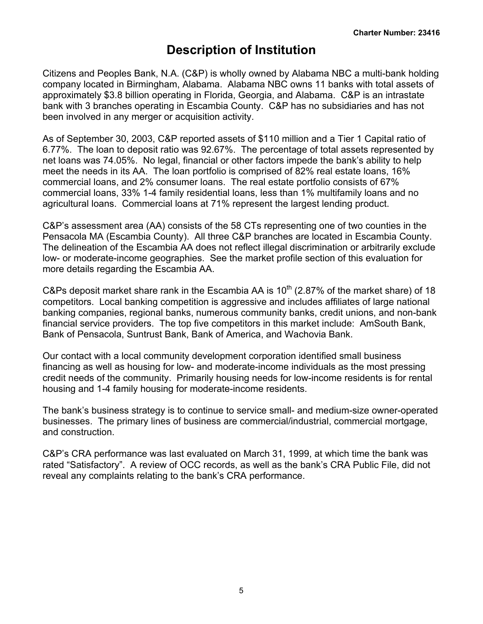# **Description of Institution**

<span id="page-6-0"></span>Citizens and Peoples Bank, N.A. (C&P) is wholly owned by Alabama NBC a multi-bank holding company located in Birmingham, Alabama. Alabama NBC owns 11 banks with total assets of approximately \$3.8 billion operating in Florida, Georgia, and Alabama. C&P is an intrastate bank with 3 branches operating in Escambia County. C&P has no subsidiaries and has not been involved in any merger or acquisition activity.

As of September 30, 2003, C&P reported assets of \$110 million and a Tier 1 Capital ratio of 6.77%. The loan to deposit ratio was 92.67%. The percentage of total assets represented by net loans was 74.05%. No legal, financial or other factors impede the bank's ability to help meet the needs in its AA. The loan portfolio is comprised of 82% real estate loans, 16% commercial loans, and 2% consumer loans. The real estate portfolio consists of 67% commercial loans, 33% 1-4 family residential loans, less than 1% multifamily loans and no agricultural loans. Commercial loans at 71% represent the largest lending product.

C&P's assessment area (AA) consists of the 58 CTs representing one of two counties in the Pensacola MA (Escambia County). All three C&P branches are located in Escambia County. The delineation of the Escambia AA does not reflect illegal discrimination or arbitrarily exclude low- or moderate-income geographies. See the market profile section of this evaluation for more details regarding the Escambia AA.

C&Ps deposit market share rank in the Escambia AA is  $10<sup>th</sup>$  (2.87% of the market share) of 18 competitors. Local banking competition is aggressive and includes affiliates of large national banking companies, regional banks, numerous community banks, credit unions, and non-bank financial service providers. The top five competitors in this market include: AmSouth Bank, Bank of Pensacola, Suntrust Bank, Bank of America, and Wachovia Bank.

Our contact with a local community development corporation identified small business financing as well as housing for low- and moderate-income individuals as the most pressing credit needs of the community. Primarily housing needs for low-income residents is for rental housing and 1-4 family housing for moderate-income residents.

The bank's business strategy is to continue to service small- and medium-size owner-operated businesses. The primary lines of business are commercial/industrial, commercial mortgage, and construction.

C&P's CRA performance was last evaluated on March 31, 1999, at which time the bank was rated "Satisfactory". A review of OCC records, as well as the bank's CRA Public File, did not reveal any complaints relating to the bank's CRA performance.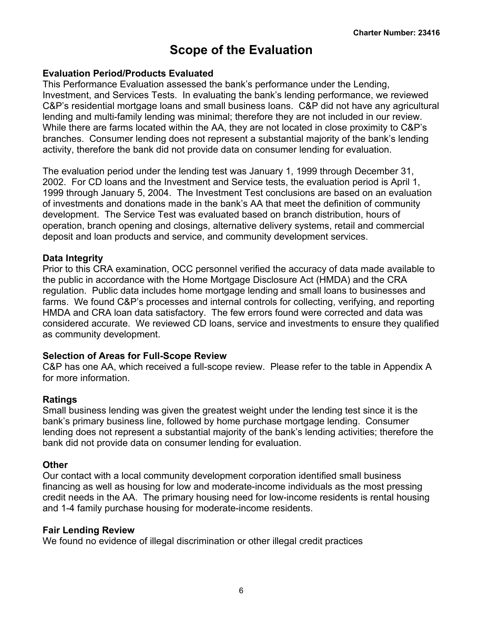# **Scope of the Evaluation**

#### <span id="page-7-0"></span>**Evaluation Period/Products Evaluated**

This Performance Evaluation assessed the bank's performance under the Lending, Investment, and Services Tests. In evaluating the bank's lending performance, we reviewed C&P's residential mortgage loans and small business loans. C&P did not have any agricultural lending and multi-family lending was minimal; therefore they are not included in our review. While there are farms located within the AA, they are not located in close proximity to C&P's branches. Consumer lending does not represent a substantial majority of the bank's lending activity, therefore the bank did not provide data on consumer lending for evaluation.

The evaluation period under the lending test was January 1, 1999 through December 31, 2002. For CD loans and the Investment and Service tests, the evaluation period is April 1, 1999 through January 5, 2004. The Investment Test conclusions are based on an evaluation of investments and donations made in the bank's AA that meet the definition of community development. The Service Test was evaluated based on branch distribution, hours of operation, branch opening and closings, alternative delivery systems, retail and commercial deposit and loan products and service, and community development services.

#### **Data Integrity**

Prior to this CRA examination, OCC personnel verified the accuracy of data made available to the public in accordance with the Home Mortgage Disclosure Act (HMDA) and the CRA regulation. Public data includes home mortgage lending and small loans to businesses and farms. We found C&P's processes and internal controls for collecting, verifying, and reporting HMDA and CRA loan data satisfactory. The few errors found were corrected and data was considered accurate. We reviewed CD loans, service and investments to ensure they qualified as community development.

#### **Selection of Areas for Full-Scope Review**

C&P has one AA, which received a full-scope review. Please refer to the table in Appendix A for more information.

#### **Ratings**

Small business lending was given the greatest weight under the lending test since it is the bank's primary business line, followed by home purchase mortgage lending. Consumer lending does not represent a substantial majority of the bank's lending activities; therefore the bank did not provide data on consumer lending for evaluation.

#### **Other**

Our contact with a local community development corporation identified small business financing as well as housing for low and moderate-income individuals as the most pressing credit needs in the AA. The primary housing need for low-income residents is rental housing and 1-4 family purchase housing for moderate-income residents.

#### **Fair Lending Review**

We found no evidence of illegal discrimination or other illegal credit practices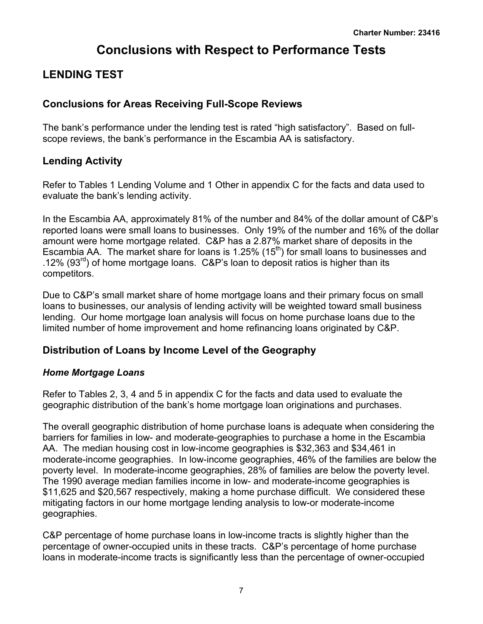# **Conclusions with Respect to Performance Tests**

# <span id="page-8-0"></span>**LENDING TEST**

## **Conclusions for Areas Receiving Full-Scope Reviews**

The bank's performance under the lending test is rated "high satisfactory". Based on fullscope reviews, the bank's performance in the Escambia AA is satisfactory.

# **Lending Activity**

Refer to Tables 1 Lending Volume and 1 Other in appendix C for the facts and data used to evaluate the bank's lending activity.

In the Escambia AA, approximately 81% of the number and 84% of the dollar amount of C&P's reported loans were small loans to businesses. Only 19% of the number and 16% of the dollar amount were home mortgage related. C&P has a 2.87% market share of deposits in the Escambia AA. The market share for loans is 1.25% (15<sup>th</sup>) for small loans to businesses and .12% (93 $^{rd}$ ) of home mortgage loans. C&P's loan to deposit ratios is higher than its competitors.

Due to C&P's small market share of home mortgage loans and their primary focus on small loans to businesses, our analysis of lending activity will be weighted toward small business lending. Our home mortgage loan analysis will focus on home purchase loans due to the limited number of home improvement and home refinancing loans originated by C&P.

## **Distribution of Loans by Income Level of the Geography**

### *Home Mortgage Loans*

Refer to Tables 2, 3, 4 and 5 in appendix C for the facts and data used to evaluate the geographic distribution of the bank's home mortgage loan originations and purchases.

The overall geographic distribution of home purchase loans is adequate when considering the barriers for families in low- and moderate-geographies to purchase a home in the Escambia AA. The median housing cost in low-income geographies is \$32,363 and \$34,461 in moderate-income geographies. In low-income geographies, 46% of the families are below the poverty level. In moderate-income geographies, 28% of families are below the poverty level. The 1990 average median families income in low- and moderate-income geographies is \$11,625 and \$20,567 respectively, making a home purchase difficult. We considered these mitigating factors in our home mortgage lending analysis to low-or moderate-income geographies.

C&P percentage of home purchase loans in low-income tracts is slightly higher than the percentage of owner-occupied units in these tracts. C&P's percentage of home purchase loans in moderate-income tracts is significantly less than the percentage of owner-occupied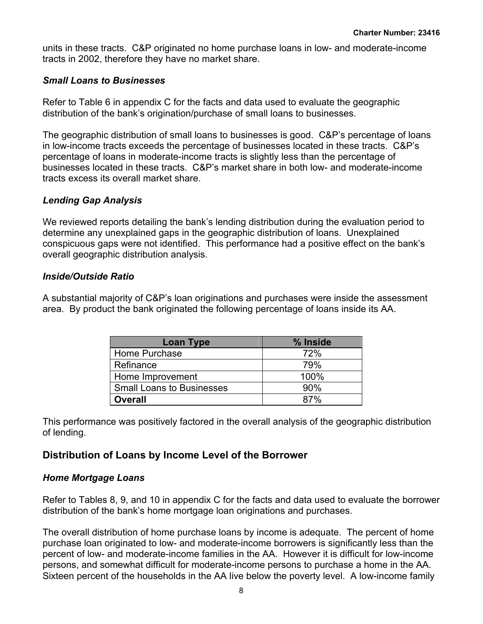units in these tracts. C&P originated no home purchase loans in low- and moderate-income tracts in 2002, therefore they have no market share.

#### *Small Loans to Businesses*

Refer to Table 6 in appendix C for the facts and data used to evaluate the geographic distribution of the bank's origination/purchase of small loans to businesses.

The geographic distribution of small loans to businesses is good. C&P's percentage of loans in low-income tracts exceeds the percentage of businesses located in these tracts. C&P's percentage of loans in moderate-income tracts is slightly less than the percentage of businesses located in these tracts. C&P's market share in both low- and moderate-income tracts excess its overall market share.

### *Lending Gap Analysis*

We reviewed reports detailing the bank's lending distribution during the evaluation period to determine any unexplained gaps in the geographic distribution of loans. Unexplained conspicuous gaps were not identified. This performance had a positive effect on the bank's overall geographic distribution analysis.

### *Inside/Outside Ratio*

A substantial majority of C&P's loan originations and purchases were inside the assessment area. By product the bank originated the following percentage of loans inside its AA.

| <b>Loan Type</b>                 | % Inside |
|----------------------------------|----------|
| Home Purchase                    | 72%      |
| Refinance                        | 79%      |
| Home Improvement                 | 100%     |
| <b>Small Loans to Businesses</b> | 90%      |
| <b>Overall</b>                   | 87%      |

This performance was positively factored in the overall analysis of the geographic distribution of lending.

## **Distribution of Loans by Income Level of the Borrower**

#### *Home Mortgage Loans*

Refer to Tables 8, 9, and 10 in appendix C for the facts and data used to evaluate the borrower distribution of the bank's home mortgage loan originations and purchases.

The overall distribution of home purchase loans by income is adequate. The percent of home purchase loan originated to low- and moderate-income borrowers is significantly less than the percent of low- and moderate-income families in the AA. However it is difficult for low-income persons, and somewhat difficult for moderate-income persons to purchase a home in the AA. Sixteen percent of the households in the AA live below the poverty level. A low-income family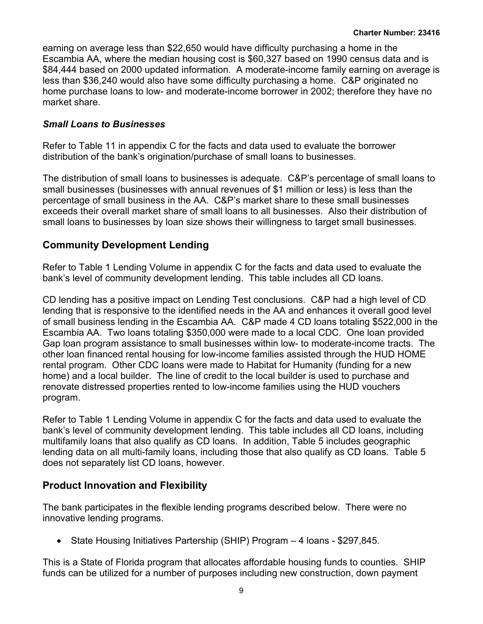earning on average less than \$22,650 would have difficulty purchasing a home in the Escambia AA, where the median housing cost is \$60,327 based on 1990 census data and is \$84,444 based on 2000 updated information. A moderate-income family earning on average is less than \$36,240 would also have some difficulty purchasing a home. C&P originated no home purchase loans to low- and moderate-income borrower in 2002; therefore they have no market share.

### *Small Loans to Businesses*

Refer to Table 11 in appendix C for the facts and data used to evaluate the borrower distribution of the bank's origination/purchase of small loans to businesses.

The distribution of small loans to businesses is adequate. C&P's percentage of small loans to small businesses (businesses with annual revenues of \$1 million or less) is less than the percentage of small business in the AA. C&P's market share to these small businesses exceeds their overall market share of small loans to all businesses. Also their distribution of small loans to businesses by loan size shows their willingness to target small businesses.

### **Community Development Lending**

Refer to Table 1 Lending Volume in appendix C for the facts and data used to evaluate the bank's level of community development lending. This table includes all CD loans.

CD lending has a positive impact on Lending Test conclusions. C&P had a high level of CD lending that is responsive to the identified needs in the AA and enhances it overall good level of small business lending in the Escambia AA. C&P made 4 CD loans totaling \$522,000 in the Escambia AA. Two loans totaling \$350,000 were made to a local CDC. One loan provided Gap loan program assistance to small businesses within low- to moderate-income tracts. The other loan financed rental housing for low-income families assisted through the HUD HOME rental program. Other CDC loans were made to Habitat for Humanity (funding for a new home) and a local builder. The line of credit to the local builder is used to purchase and renovate distressed properties rented to low-income families using the HUD vouchers program.

Refer to Table 1 Lending Volume in appendix C for the facts and data used to evaluate the bank's level of community development lending. This table includes all CD loans, including multifamily loans that also qualify as CD loans. In addition, Table 5 includes geographic lending data on all multi-family loans, including those that also qualify as CD loans. Table 5 does not separately list CD loans, however.

## **Product Innovation and Flexibility**

The bank participates in the flexible lending programs described below. There were no innovative lending programs.

• State Housing Initiatives Partership (SHIP) Program – 4 Ioans - \$297,845.

This is a State of Florida program that allocates affordable housing funds to counties. SHIP funds can be utilized for a number of purposes including new construction, down payment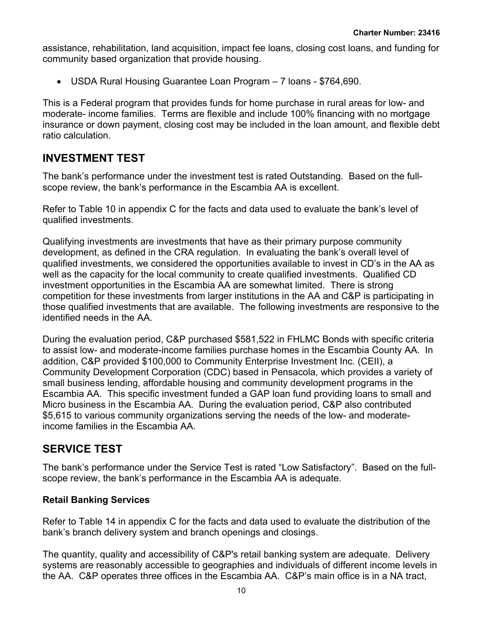<span id="page-11-0"></span>assistance, rehabilitation, land acquisition, impact fee loans, closing cost loans, and funding for community based organization that provide housing.

• USDA Rural Housing Guarantee Loan Program – 7 loans - \$764,690.

This is a Federal program that provides funds for home purchase in rural areas for low- and moderate- income families. Terms are flexible and include 100% financing with no mortgage insurance or down payment, closing cost may be included in the loan amount, and flexible debt ratio calculation.

# **INVESTMENT TEST**

The bank's performance under the investment test is rated Outstanding. Based on the fullscope review, the bank's performance in the Escambia AA is excellent.

Refer to Table 10 in appendix C for the facts and data used to evaluate the bank's level of qualified investments.

Qualifying investments are investments that have as their primary purpose community development, as defined in the CRA regulation. In evaluating the bank's overall level of qualified investments, we considered the opportunities available to invest in CD's in the AA as well as the capacity for the local community to create qualified investments. Qualified CD investment opportunities in the Escambia AA are somewhat limited. There is strong competition for these investments from larger institutions in the AA and C&P is participating in those qualified investments that are available. The following investments are responsive to the identified needs in the AA.

During the evaluation period, C&P purchased \$581,522 in FHLMC Bonds with specific criteria to assist low- and moderate-income families purchase homes in the Escambia County AA. In addition, C&P provided \$100,000 to Community Enterprise Investment Inc. (CEII), a Community Development Corporation (CDC) based in Pensacola, which provides a variety of small business lending, affordable housing and community development programs in the Escambia AA. This specific investment funded a GAP loan fund providing loans to small and Micro business in the Escambia AA. During the evaluation period, C&P also contributed \$5,615 to various community organizations serving the needs of the low- and moderateincome families in the Escambia AA.

# **SERVICE TEST**

The bank's performance under the Service Test is rated "Low Satisfactory". Based on the fullscope review, the bank's performance in the Escambia AA is adequate.

### **Retail Banking Services**

Refer to Table 14 in appendix C for the facts and data used to evaluate the distribution of the bank's branch delivery system and branch openings and closings.

The quantity, quality and accessibility of C&P's retail banking system are adequate. Delivery systems are reasonably accessible to geographies and individuals of different income levels in the AA. C&P operates three offices in the Escambia AA. C&P's main office is in a NA tract,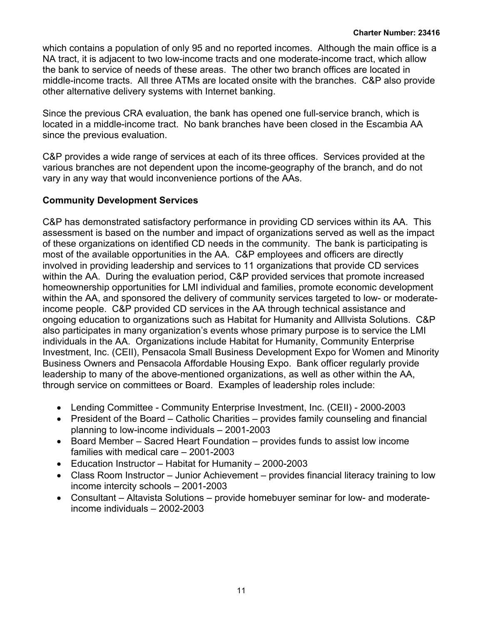which contains a population of only 95 and no reported incomes. Although the main office is a NA tract, it is adjacent to two low-income tracts and one moderate-income tract, which allow the bank to service of needs of these areas. The other two branch offices are located in middle-income tracts. All three ATMs are located onsite with the branches. C&P also provide other alternative delivery systems with Internet banking.

Since the previous CRA evaluation, the bank has opened one full-service branch, which is located in a middle-income tract. No bank branches have been closed in the Escambia AA since the previous evaluation.

C&P provides a wide range of services at each of its three offices. Services provided at the various branches are not dependent upon the income-geography of the branch, and do not vary in any way that would inconvenience portions of the AAs.

### **Community Development Services**

C&P has demonstrated satisfactory performance in providing CD services within its AA. This assessment is based on the number and impact of organizations served as well as the impact of these organizations on identified CD needs in the community. The bank is participating is most of the available opportunities in the AA. C&P employees and officers are directly involved in providing leadership and services to 11 organizations that provide CD services within the AA. During the evaluation period, C&P provided services that promote increased homeownership opportunities for LMI individual and families, promote economic development within the AA, and sponsored the delivery of community services targeted to low- or moderateincome people. C&P provided CD services in the AA through technical assistance and ongoing education to organizations such as Habitat for Humanity and Alllvista Solutions. C&P also participates in many organization's events whose primary purpose is to service the LMI individuals in the AA. Organizations include Habitat for Humanity, Community Enterprise Investment, Inc. (CEII), Pensacola Small Business Development Expo for Women and Minority Business Owners and Pensacola Affordable Housing Expo. Bank officer regularly provide leadership to many of the above-mentioned organizations, as well as other within the AA, through service on committees or Board. Examples of leadership roles include:

- Lending Committee Community Enterprise Investment, Inc. (CEII) 2000-2003
- President of the Board Catholic Charities provides family counseling and financial planning to low-income individuals – 2001-2003
- Board Member Sacred Heart Foundation provides funds to assist low income families with medical care – 2001-2003
- Education Instructor Habitat for Humanity 2000-2003
- Class Room Instructor Junior Achievement provides financial literacy training to low income intercity schools – 2001-2003
- Consultant Altavista Solutions provide homebuyer seminar for low- and moderateincome individuals – 2002-2003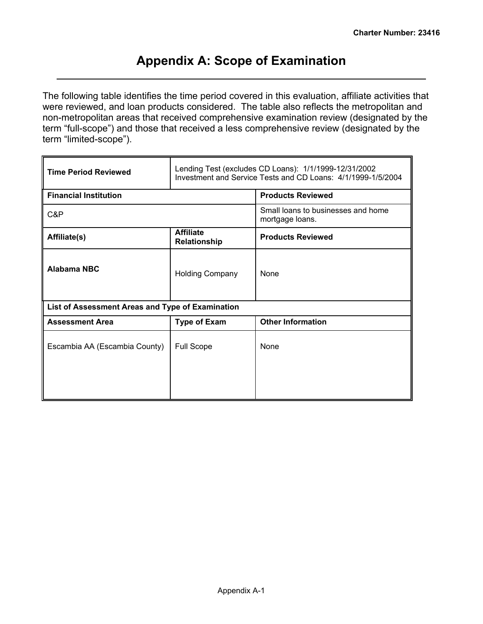# **Appendix A: Scope of Examination**

<span id="page-13-0"></span>The following table identifies the time period covered in this evaluation, affiliate activities that were reviewed, and loan products considered. The table also reflects the metropolitan and non-metropolitan areas that received comprehensive examination review (designated by the term "full-scope") and those that received a less comprehensive review (designated by the term "limited-scope").

| <b>Time Period Reviewed</b>                      | Lending Test (excludes CD Loans): 1/1/1999-12/31/2002<br>Investment and Service Tests and CD Loans: 4/1/1999-1/5/2004 |                                                       |  |  |  |  |  |
|--------------------------------------------------|-----------------------------------------------------------------------------------------------------------------------|-------------------------------------------------------|--|--|--|--|--|
| <b>Financial Institution</b>                     |                                                                                                                       | <b>Products Reviewed</b>                              |  |  |  |  |  |
| C&P                                              |                                                                                                                       | Small loans to businesses and home<br>mortgage loans. |  |  |  |  |  |
| Affiliate(s)                                     | <b>Affiliate</b><br>Relationship                                                                                      | <b>Products Reviewed</b>                              |  |  |  |  |  |
| <b>Alabama NBC</b>                               | <b>Holding Company</b>                                                                                                | <b>None</b>                                           |  |  |  |  |  |
| List of Assessment Areas and Type of Examination |                                                                                                                       |                                                       |  |  |  |  |  |
| <b>Assessment Area</b>                           | <b>Type of Exam</b>                                                                                                   | <b>Other Information</b>                              |  |  |  |  |  |
| Escambia AA (Escambia County)                    | <b>Full Scope</b>                                                                                                     | None                                                  |  |  |  |  |  |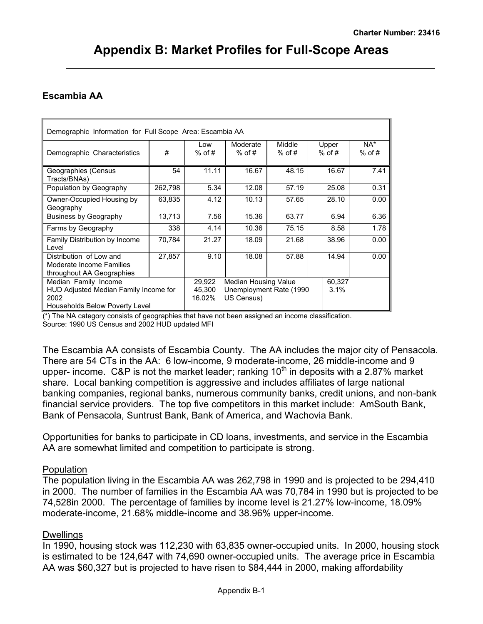## <span id="page-14-0"></span> **Escambia AA**

| Demographic Information for Full Scope Area: Escambia AA                                                |         |                            |                                                                |                    |                   |                    |
|---------------------------------------------------------------------------------------------------------|---------|----------------------------|----------------------------------------------------------------|--------------------|-------------------|--------------------|
| Demographic Characteristics                                                                             | #       | l ow<br>$%$ of #           | Moderate<br>$%$ of #                                           | Middle<br>$%$ of # | Upper<br>$%$ of # | $NA^*$<br>$%$ of # |
| Geographies (Census<br>Tracts/BNAs)                                                                     | 54      | 11.11                      | 16.67                                                          | 48.15              | 16.67             | 7.41               |
| Population by Geography                                                                                 | 262,798 | 5.34                       | 12.08                                                          | 57.19              | 25.08             | 0.31               |
| Owner-Occupied Housing by<br>Geography                                                                  | 63,835  | 4.12                       | 10.13                                                          | 57.65              | 28.10             | 0.00               |
| <b>Business by Geography</b>                                                                            | 13,713  | 7.56                       | 15.36                                                          | 63.77              | 6.94              | 6.36               |
| Farms by Geography                                                                                      | 338     | 4.14                       | 10.36                                                          | 75.15              | 8.58              | 1.78               |
| Family Distribution by Income<br>Level                                                                  | 70,784  | 21.27                      | 18.09                                                          | 21.68              | 38.96             | 0.00               |
| Distribution of Low and<br>Moderate Income Families<br>throughout AA Geographies                        | 27,857  | 9.10                       | 18.08                                                          | 57.88              | 14.94             | 0.00               |
| Median Family Income<br>HUD Adjusted Median Family Income for<br>2002<br>Households Below Poverty Level |         | 29.922<br>45.300<br>16.02% | Median Housing Value<br>Unemployment Rate (1990)<br>US Census) |                    | 60.327<br>3.1%    |                    |

(\*) The NA category consists of geographies that have not been assigned an income classification. Source: 1990 US Census and 2002 HUD updated MFI

The Escambia AA consists of Escambia County. The AA includes the major city of Pensacola. There are 54 CTs in the AA: 6 low-income, 9 moderate-income, 26 middle-income and 9 upper- income. C&P is not the market leader; ranking  $10<sup>th</sup>$  in deposits with a 2.87% market share. Local banking competition is aggressive and includes affiliates of large national banking companies, regional banks, numerous community banks, credit unions, and non-bank financial service providers. The top five competitors in this market include: AmSouth Bank, Bank of Pensacola, Suntrust Bank, Bank of America, and Wachovia Bank.

Opportunities for banks to participate in CD loans, investments, and service in the Escambia AA are somewhat limited and competition to participate is strong.

#### **Population**

The population living in the Escambia AA was 262,798 in 1990 and is projected to be 294,410 in 2000. The number of families in the Escambia AA was 70,784 in 1990 but is projected to be 74,528in 2000. The percentage of families by income level is 21.27% low-income, 18.09% moderate-income, 21.68% middle-income and 38.96% upper-income.

### **Dwellings**

In 1990, housing stock was 112,230 with 63,835 owner-occupied units. In 2000, housing stock is estimated to be 124,647 with 74,690 owner-occupied units. The average price in Escambia AA was \$60,327 but is projected to have risen to \$84,444 in 2000, making affordability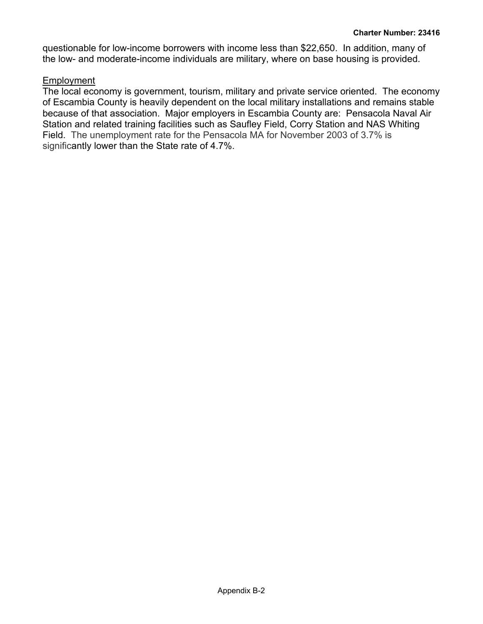questionable for low-income borrowers with income less than \$22,650. In addition, many of the low- and moderate-income individuals are military, where on base housing is provided.

### Employment

The local economy is government, tourism, military and private service oriented. The economy of Escambia County is heavily dependent on the local military installations and remains stable because of that association. Major employers in Escambia County are: Pensacola Naval Air Station and related training facilities such as Saufley Field, Corry Station and NAS Whiting Field. The unemployment rate for the Pensacola MA for November 2003 of 3.7% is significantly lower than the State rate of 4.7%.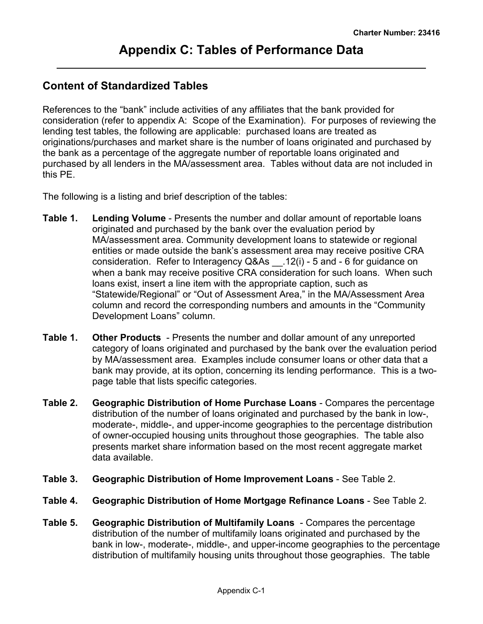# <span id="page-16-0"></span>**Content of Standardized Tables**

References to the "bank" include activities of any affiliates that the bank provided for consideration (refer to appendix A: Scope of the Examination). For purposes of reviewing the lending test tables, the following are applicable: purchased loans are treated as originations/purchases and market share is the number of loans originated and purchased by the bank as a percentage of the aggregate number of reportable loans originated and purchased by all lenders in the MA/assessment area. Tables without data are not included in this PE.

The following is a listing and brief description of the tables:

- **Table 1. Lending Volume** Presents the number and dollar amount of reportable loans originated and purchased by the bank over the evaluation period by MA/assessment area. Community development loans to statewide or regional entities or made outside the bank's assessment area may receive positive CRA consideration. Refer to Interagency Q&As \_\_.12(i) - 5 and - 6 for guidance on when a bank may receive positive CRA consideration for such loans. When such loans exist, insert a line item with the appropriate caption, such as "Statewide/Regional" or "Out of Assessment Area," in the MA/Assessment Area column and record the corresponding numbers and amounts in the "Community Development Loans" column.
- **Table 1. Other Products**  Presents the number and dollar amount of any unreported category of loans originated and purchased by the bank over the evaluation period by MA/assessment area. Examples include consumer loans or other data that a bank may provide, at its option, concerning its lending performance. This is a twopage table that lists specific categories.
- **Table 2. Geographic Distribution of Home Purchase Loans** Compares the percentage distribution of the number of loans originated and purchased by the bank in low-, moderate-, middle-, and upper-income geographies to the percentage distribution of owner-occupied housing units throughout those geographies. The table also presents market share information based on the most recent aggregate market data available.
- **Table 3. Geographic Distribution of Home Improvement Loans** See Table 2.
- **Table 4. Geographic Distribution of Home Mortgage Refinance Loans** See Table 2.
- **Table 5. Geographic Distribution of Multifamily Loans** Compares the percentage distribution of the number of multifamily loans originated and purchased by the bank in low-, moderate-, middle-, and upper-income geographies to the percentage distribution of multifamily housing units throughout those geographies. The table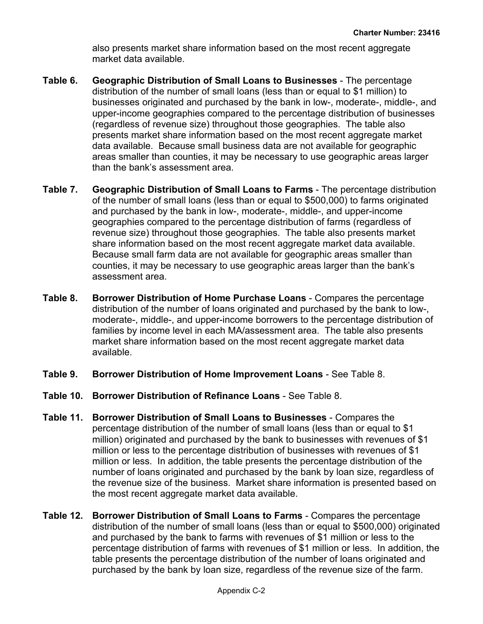also presents market share information based on the most recent aggregate market data available.

- **Table 6. Geographic Distribution of Small Loans to Businesses** The percentage distribution of the number of small loans (less than or equal to \$1 million) to businesses originated and purchased by the bank in low-, moderate-, middle-, and upper-income geographies compared to the percentage distribution of businesses (regardless of revenue size) throughout those geographies. The table also presents market share information based on the most recent aggregate market data available. Because small business data are not available for geographic areas smaller than counties, it may be necessary to use geographic areas larger than the bank's assessment area.
- **Table 7. Geographic Distribution of Small Loans to Farms** The percentage distribution of the number of small loans (less than or equal to \$500,000) to farms originated and purchased by the bank in low-, moderate-, middle-, and upper-income geographies compared to the percentage distribution of farms (regardless of revenue size) throughout those geographies. The table also presents market share information based on the most recent aggregate market data available. Because small farm data are not available for geographic areas smaller than counties, it may be necessary to use geographic areas larger than the bank's assessment area.
- **Table 8. Borrower Distribution of Home Purchase Loans** Compares the percentage distribution of the number of loans originated and purchased by the bank to low-, moderate-, middle-, and upper-income borrowers to the percentage distribution of families by income level in each MA/assessment area. The table also presents market share information based on the most recent aggregate market data available.
- **Table 9. Borrower Distribution of Home Improvement Loans** See Table 8.
- **Table 10. Borrower Distribution of Refinance Loans** See Table 8.
- **Table 11. Borrower Distribution of Small Loans to Businesses** Compares the percentage distribution of the number of small loans (less than or equal to \$1 million) originated and purchased by the bank to businesses with revenues of \$1 million or less to the percentage distribution of businesses with revenues of \$1 million or less. In addition, the table presents the percentage distribution of the number of loans originated and purchased by the bank by loan size, regardless of the revenue size of the business. Market share information is presented based on the most recent aggregate market data available.
- **Table 12. Borrower Distribution of Small Loans to Farms** Compares the percentage distribution of the number of small loans (less than or equal to \$500,000) originated and purchased by the bank to farms with revenues of \$1 million or less to the percentage distribution of farms with revenues of \$1 million or less. In addition, the table presents the percentage distribution of the number of loans originated and purchased by the bank by loan size, regardless of the revenue size of the farm.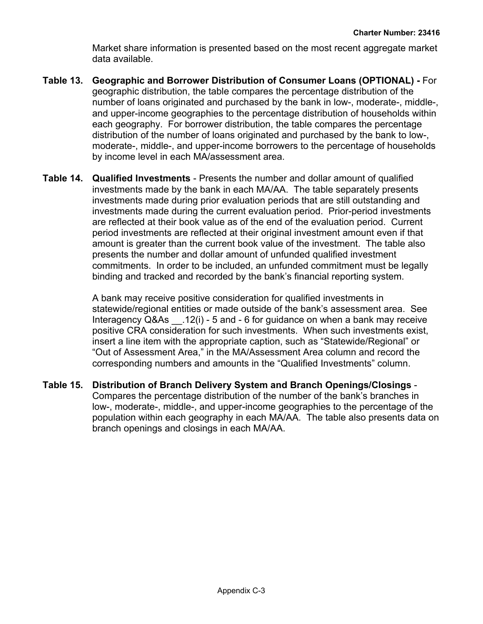Market share information is presented based on the most recent aggregate market data available.

- **Table 13. Geographic and Borrower Distribution of Consumer Loans (OPTIONAL)** For geographic distribution, the table compares the percentage distribution of the number of loans originated and purchased by the bank in low-, moderate-, middle-, and upper-income geographies to the percentage distribution of households within each geography. For borrower distribution, the table compares the percentage distribution of the number of loans originated and purchased by the bank to low-, moderate-, middle-, and upper-income borrowers to the percentage of households by income level in each MA/assessment area.
- **Table 14. Qualified Investments** Presents the number and dollar amount of qualified investments made by the bank in each MA/AA. The table separately presents investments made during prior evaluation periods that are still outstanding and investments made during the current evaluation period. Prior-period investments are reflected at their book value as of the end of the evaluation period. Current period investments are reflected at their original investment amount even if that amount is greater than the current book value of the investment. The table also presents the number and dollar amount of unfunded qualified investment commitments. In order to be included, an unfunded commitment must be legally binding and tracked and recorded by the bank's financial reporting system.

A bank may receive positive consideration for qualified investments in statewide/regional entities or made outside of the bank's assessment area. See Interagency Q&As \_\_.12(i) - 5 and - 6 for guidance on when a bank may receive positive CRA consideration for such investments. When such investments exist, insert a line item with the appropriate caption, such as "Statewide/Regional" or "Out of Assessment Area," in the MA/Assessment Area column and record the corresponding numbers and amounts in the "Qualified Investments" column.

**Table 15. Distribution of Branch Delivery System and Branch Openings/Closings** - Compares the percentage distribution of the number of the bank's branches in low-, moderate-, middle-, and upper-income geographies to the percentage of the population within each geography in each MA/AA. The table also presents data on branch openings and closings in each MA/AA.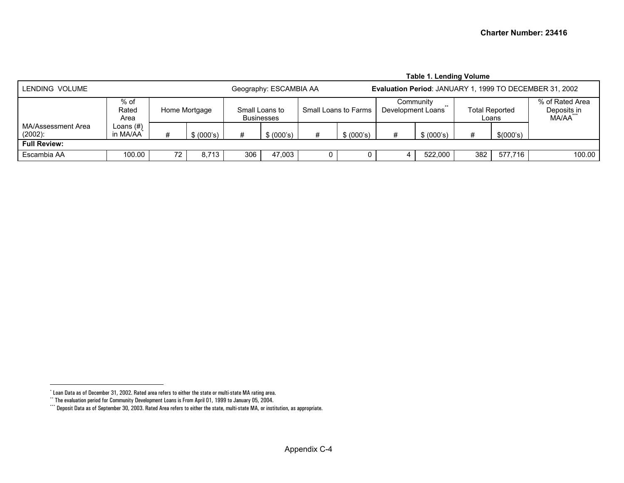<span id="page-19-2"></span><span id="page-19-1"></span><span id="page-19-0"></span>

|                                                                                                     | <b>Table 1. Lending Volume</b> |    |               |     |                                     |   |                      |                   |                    |     |                                |                                         |  |  |  |
|-----------------------------------------------------------------------------------------------------|--------------------------------|----|---------------|-----|-------------------------------------|---|----------------------|-------------------|--------------------|-----|--------------------------------|-----------------------------------------|--|--|--|
| LENDING VOLUME<br>Evaluation Period: JANUARY 1, 1999 TO DECEMBER 31, 2002<br>Geography: ESCAMBIA AA |                                |    |               |     |                                     |   |                      |                   |                    |     |                                |                                         |  |  |  |
|                                                                                                     | % of<br>Rated<br>Area          |    | Home Mortgage |     | Small Loans to<br><b>Businesses</b> |   | Small Loans to Farms | Development Loans | Communitv<br>$***$ |     | <b>Total Reported</b><br>Loans | % of Rated Area<br>Deposits in<br>MA/AA |  |  |  |
| MA/Assessment Area<br>$(2002)$ :                                                                    | Loans (#)<br>in MA/AA          | #  | \$ (000's)    | #   | \$ (000's)                          | # | \$ (000's)           | #                 | \$ (000's)         | #   | \$(000's)                      |                                         |  |  |  |
| <b>Full Review:</b>                                                                                 |                                |    |               |     |                                     |   |                      |                   |                    |     |                                |                                         |  |  |  |
| Escambia AA                                                                                         | 100.00                         | 72 | 8,713         | 306 | 47.003                              |   |                      |                   | 522.000            | 382 | 577.716                        | 100.00                                  |  |  |  |

<sup>\*</sup> Loan Data as of December 31, 2002. Rated area refers to either the state or multi-state MA rating area.

<sup>\*\*</sup> The evaluation period for Community Development Loans is From April 01, 1999 to January 05, 2004.

<sup>\*\*\*</sup> Deposit Data as of September 30, 2003. Rated Area refers to either the state, multi-state MA, or institution, as appropriate.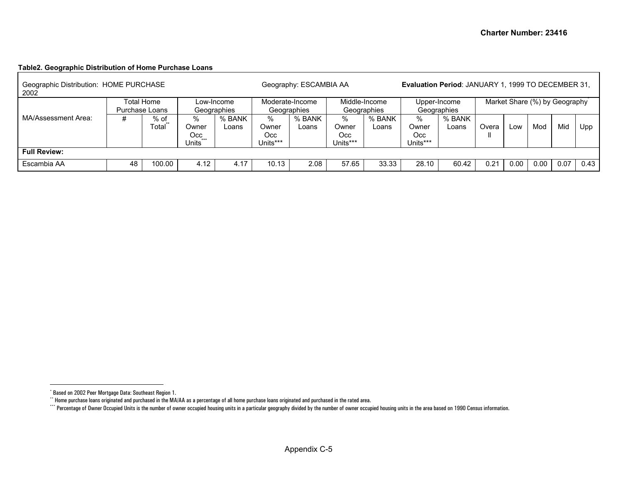# <span id="page-20-2"></span><span id="page-20-1"></span><span id="page-20-0"></span>**Table2. Geographic Distribution of Home Purchase Loans**

| Geographic Distribution: HOME PURCHASE<br>2002 |    | Geography: ESCAMBIA AA    |                                            |                                | <b>Evaluation Period: JANUARY 1, 1999 TO DECEMBER 31,</b> |                              |                               |                             |                               |                 |       |      |      |      |      |
|------------------------------------------------|----|---------------------------|--------------------------------------------|--------------------------------|-----------------------------------------------------------|------------------------------|-------------------------------|-----------------------------|-------------------------------|-----------------|-------|------|------|------|------|
|                                                |    | Low-Income<br>Geographies |                                            | Moderate-Income<br>Geographies |                                                           | Middle-Income<br>Geographies |                               | Upper-Income<br>Geographies | Market Share (%) by Geography |                 |       |      |      |      |      |
| MA/Assessment Area:                            | #  | % of<br>Total             | ℅<br>Owner<br>Occ<br>$***$<br><b>Units</b> | % BANK<br>Loans                | %<br>Owner<br>Occ<br>Units***                             | % BANK<br>Loans              | %<br>Owner<br>Occ<br>Jnits*** | % BANK<br>Loans             | %<br>Owner<br>Occ<br>Units*** | % BANK<br>Loans | Overa | LOW  | Mod  | Mid  | Upp  |
| <b>Full Review:</b>                            |    |                           |                                            |                                |                                                           |                              |                               |                             |                               |                 |       |      |      |      |      |
| Escambia AA                                    | 48 | 100.00                    | 4.12                                       | 4.17                           | 10.13                                                     | 2.08                         | 57.65                         | 33.33                       | 28.10                         | 60.42           | 0.21  | 0.00 | 0.00 | 0.07 | 0.43 |

<sup>\*</sup> Based on 2002 Peer Mortgage Data: Southeast Region 1.

 $\cdot^*$  Home purchase loans originated and purchased in the MA/AA as a percentage of all home purchase loans originated and purchased in the rated area.

<sup>\*\*\*\*</sup> Percentage of Owner Occupied Units is the number of owner occupied housing units in a particular geography divided by the number of owner occupied housing units in the area based on 1990 Census information.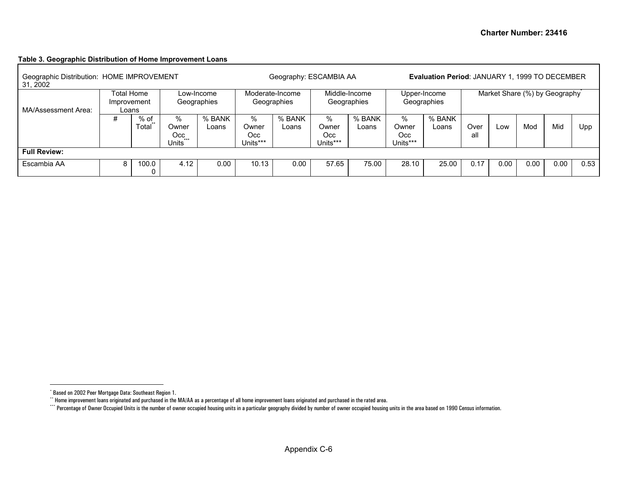#### **Table 3. Geographic Distribution of Home Improvement Loans**

<span id="page-21-2"></span><span id="page-21-1"></span><span id="page-21-0"></span>

| Geographic Distribution: HOME IMPROVEMENT<br>31, 2002 |                                                                 |               | Geography: ESCAMBIA AA              |                 |                                | <b>Evaluation Period: JANUARY 1, 1999 TO DECEMBER</b> |                               |                              |                                |                 |             |      |                               |      |      |
|-------------------------------------------------------|-----------------------------------------------------------------|---------------|-------------------------------------|-----------------|--------------------------------|-------------------------------------------------------|-------------------------------|------------------------------|--------------------------------|-----------------|-------------|------|-------------------------------|------|------|
| MA/Assessment Area:                                   | Total Home<br>Low-Income<br>Geographies<br>Improvement<br>Loans |               |                                     |                 |                                | Moderate-Income<br>Geographies                        |                               | Middle-Income<br>Geographies | Upper-Income<br>Geographies    |                 |             |      | Market Share (%) by Geography |      |      |
|                                                       | #                                                               | % of<br>Total | %<br>Owner<br>Occ<br>$***$<br>Units | % BANK<br>Loans | %<br>Owner<br>Occ.<br>Units*** | % BANK<br>Loans                                       | %<br>Owner<br>Occ<br>Units*** | % BANK<br>∟oans              | %<br>Owner<br>Occ.<br>Units*** | % BANK<br>Loans | Over<br>all | LOW  | Mod                           | Mid  | Upp  |
| <b>Full Review:</b>                                   |                                                                 |               |                                     |                 |                                |                                                       |                               |                              |                                |                 |             |      |                               |      |      |
| Escambia AA                                           | 8                                                               | 100.0         | 4.12                                | 0.00            | 10.13                          | 0.00                                                  | 57.65                         | 75.00                        | 28.10                          | 25.00           | 0.17        | 0.00 | 0.00                          | 0.00 | 0.53 |

<sup>\*</sup> Based on 2002 Peer Mortgage Data: Southeast Region 1.

<sup>\*\*</sup> Home improvement loans originated and purchased in the MA/AA as a percentage of all home improvement loans originated and purchased in the rated area.

<sup>\*\*\*\*</sup> Percentage of Owner Occupied Units is the number of owner occupied housing units in a particular geography divided by number of owner occupied housing units in the area based on 1990 Census information.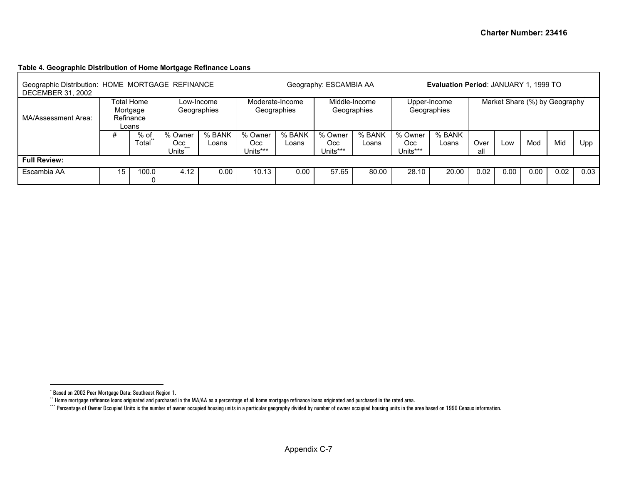# <span id="page-22-2"></span><span id="page-22-1"></span><span id="page-22-0"></span>**Table 4. Geographic Distribution of Home Mortgage Refinance Loans**

| Geographic Distribution: HOME MORTGAGE REFINANCE<br><b>DECEMBER 31, 2002</b> |          |                                  |                                     | Geography: ESCAMBIA AA    |                            |                                |                            |                 | <b>Evaluation Period: JANUARY 1, 1999 TO</b> |                             |             |                               |      |      |      |
|------------------------------------------------------------------------------|----------|----------------------------------|-------------------------------------|---------------------------|----------------------------|--------------------------------|----------------------------|-----------------|----------------------------------------------|-----------------------------|-------------|-------------------------------|------|------|------|
| MA/Assessment Area:                                                          | Mortgage | Total Home<br>Refinance<br>Loans |                                     | Low-Income<br>Geographies |                            | Moderate-Income<br>Geographies | Geographies                | Middle-Income   |                                              | Upper-Income<br>Geographies |             | Market Share (%) by Geography |      |      |      |
|                                                                              | #        | $%$ of<br>Total                  | % Owner<br>Occ.<br>$+ + +$<br>Units | % BANK<br>Loans           | % Owner<br>Occ<br>Units*** | % BANK<br>Loans                | % Owner<br>Occ<br>Units*** | % BANK<br>Loans | % Owner<br>Occ.<br>Units***                  | % BANK<br>Loans             | Over<br>all | Low                           | Mod  | Mid  | Upp  |
| <b>Full Review:</b>                                                          |          |                                  |                                     |                           |                            |                                |                            |                 |                                              |                             |             |                               |      |      |      |
| Escambia AA                                                                  | 15       | 100.0                            | 4.12                                | 0.00                      | 10.13                      | 0.00                           | 57.65                      | 80.00           | 28.10                                        | 20.00                       | 0.02        | 0.00                          | 0.00 | 0.02 | 0.03 |

<sup>\*</sup> Based on 2002 Peer Mortgage Data: Southeast Region 1.

 $^{\circ}$  Home mortgage refinance loans originated and purchased in the MA/AA as a percentage of all home mortgage refinance loans originated and purchased in the rated area.

<sup>\*\*\*\*</sup> Percentage of Owner Occupied Units is the number of owner occupied housing units in a particular geography divided by number of owner occupied housing units in the area based on 1990 Census information.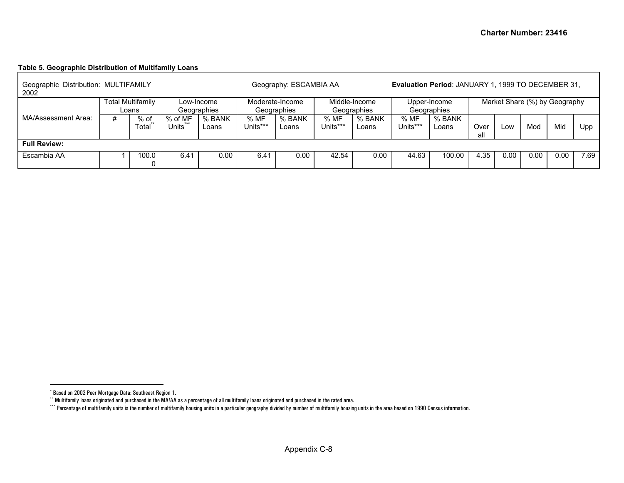# <span id="page-23-2"></span><span id="page-23-1"></span><span id="page-23-0"></span>**Table 5. Geographic Distribution of Multifamily Loans**

| Geographic Distribution: MULTIFAMILY<br>2002 |   |                                   |                  |                           |                  | Geography: ESCAMBIA AA         |                              | Evaluation Period: JANUARY 1, 1999 TO DECEMBER 31, |                             |                 |                               |      |      |      |      |
|----------------------------------------------|---|-----------------------------------|------------------|---------------------------|------------------|--------------------------------|------------------------------|----------------------------------------------------|-----------------------------|-----------------|-------------------------------|------|------|------|------|
|                                              |   | <b>Total Multifamily</b><br>Loans |                  | Low-Income<br>Geographies |                  | Moderate-Income<br>Geographies | Middle-Income<br>Geographies |                                                    | Upper-Income<br>Geographies |                 | Market Share (%) by Geography |      |      |      |      |
| MA/Assessment Area:                          | # | % of<br>$+ +$<br>Total            | % of MF<br>Jnits | % BANK<br>Loans           | % MF<br>Units*** | % BANK<br>Loans                | % MF<br>Units***             | % BANK<br>Loans                                    | % MF<br>Units***            | % BANK<br>Loans | Over<br>all                   | LOW  | Mod  | Mid  | Upp  |
| <b>Full Review:</b>                          |   |                                   |                  |                           |                  |                                |                              |                                                    |                             |                 |                               |      |      |      |      |
| Escambia AA                                  |   | 100.0                             | 6.41             | 0.00                      | 6.41             | 0.00                           | 42.54                        | 0.00                                               | 44.63                       | 100.00          | 4.35                          | 0.00 | 0.00 | 0.00 | 7.69 |

<sup>\*</sup> Based on 2002 Peer Mortgage Data: Southeast Region 1.

<sup>\*\*</sup> Multifamily loans originated and purchased in the MA/AA as a percentage of all multifamily loans originated and purchased in the rated area.

<sup>\*\*\*\*</sup> Percentage of multifamily units is the number of multifamily housing units in a particular geography divided by number of multifamily housing units in the area based on 1990 Census information.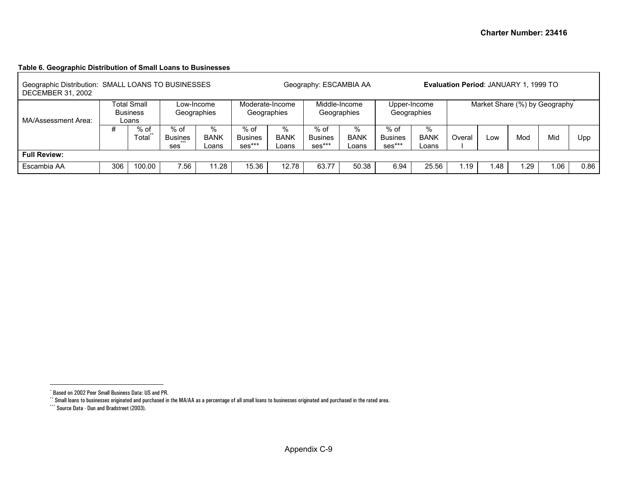# <span id="page-24-2"></span><span id="page-24-1"></span><span id="page-24-0"></span>**Table 6. Geographic Distribution of Small Loans to Businesses**

| Geographic Distribution: SMALL LOANS TO BUSINESSES<br>DECEMBER 31, 2002 |                                                                             |               |                                          |                           | Geography: ESCAMBIA AA         | Evaluation Period: JANUARY 1, 1999 TO |                                    |                           |                                    |                           |        |      |                               |      |      |
|-------------------------------------------------------------------------|-----------------------------------------------------------------------------|---------------|------------------------------------------|---------------------------|--------------------------------|---------------------------------------|------------------------------------|---------------------------|------------------------------------|---------------------------|--------|------|-------------------------------|------|------|
| MA/Assessment Area:                                                     | <b>Total Small</b><br>Low-Income<br><b>Business</b><br>Geographies<br>Loans |               |                                          |                           | Moderate-Income<br>Geographies |                                       | Middle-Income<br>Geographies       |                           | Geographies                        | Upper-Income              |        |      | Market Share (%) by Geography |      |      |
|                                                                         | #                                                                           | % of<br>Total | % of<br><b>Busines</b><br>$+ + +$<br>ses | %<br><b>BANK</b><br>Loans | $%$ of<br>Busines<br>ses***    | %<br><b>BANK</b><br>Loans             | $%$ of<br><b>Busines</b><br>ses*** | %<br><b>BANK</b><br>Loans | % of<br><b>Busines</b><br>$ses***$ | %<br><b>BANK</b><br>Loans | Overal | Low  | Mod                           | Mid  | Upp  |
| <b>Full Review:</b>                                                     |                                                                             |               |                                          |                           |                                |                                       |                                    |                           |                                    |                           |        |      |                               |      |      |
| Escambia AA                                                             | 306                                                                         | 100.00        | 7.56                                     | 1.28                      | 15.36                          | 12.78                                 | 63.77                              | 50.38                     | 6.94                               | 25.56                     | l.19   | 1.48 | . 29                          | 0.06 | 0.86 |

<sup>\*</sup> Based on 2002 Peer Small Business Data: US and PR.

<sup>\*\*</sup> Small loans to businesses originated and purchased in the MA/AA as a percentage of all small loans to businesses originated and purchased in the rated area.

<sup>\*\*\*</sup> Source Data - Dun and Bradstreet (2003).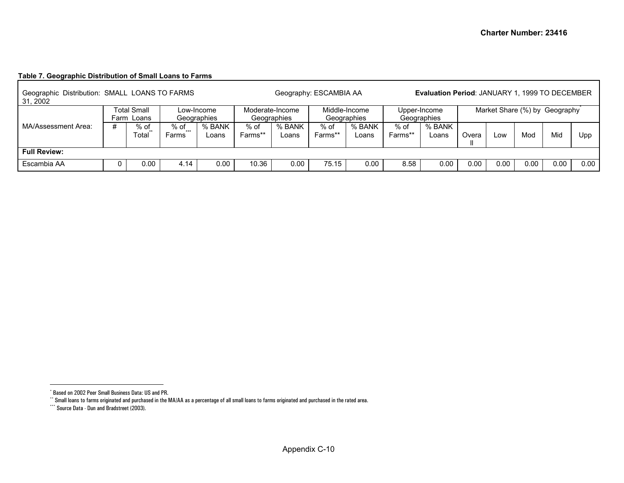# <span id="page-25-2"></span><span id="page-25-1"></span><span id="page-25-0"></span>**Table 7. Geographic Distribution of Small Loans to Farms**

| Geographic Distribution: SMALL LOANS TO FARMS<br>31, 2002 |             |            |                 |                 | Geography: ESCAMBIA AA | <b>Evaluation Period: JANUARY 1, 1999 TO DECEMBER</b> |         |                             |         |        |       |                               |      |      |      |
|-----------------------------------------------------------|-------------|------------|-----------------|-----------------|------------------------|-------------------------------------------------------|---------|-----------------------------|---------|--------|-------|-------------------------------|------|------|------|
|                                                           | Total Small |            | Low-Income      | Moderate-Income |                        | Middle-Income<br>Geographies                          |         | Upper-Income<br>Geographies |         |        |       | Market Share (%) by Geography |      |      |      |
|                                                           |             | Farm Loans |                 | Geographies     |                        | Geographies                                           |         |                             |         |        |       |                               |      |      |      |
| MA/Assessment Area:                                       | #           | % of       | % of<br>$+ + +$ | % BANK          | % of                   | % BANK                                                | $%$ of  | % BANK                      | $%$ of  | % BANK |       |                               |      |      |      |
|                                                           |             | Total      | Farms           | Loans           | Farms**                | Loans                                                 | Farms** | Loans                       | Farms** | Loans  | Overa | Low                           | Mod  | Mid  | Upp  |
| <b>Full Review:</b>                                       |             |            |                 |                 |                        |                                                       |         |                             |         |        |       |                               |      |      |      |
| Escambia AA                                               |             | 0.00       | 4.14            | 0.00            | 10.36                  | 0.00                                                  | 75.15   | 0.00                        | 8.58    | 0.00   | 0.00  | 0.00                          | 0.00 | 0.00 | 0.00 |

<sup>\*</sup> Based on 2002 Peer Small Business Data: US and PR.

<sup>\*\*</sup> Small loans to farms originated and purchased in the MA/AA as a percentage of all small loans to farms originated and purchased in the rated area.

<sup>\*\*\*</sup> Source Data - Dun and Bradstreet (2003).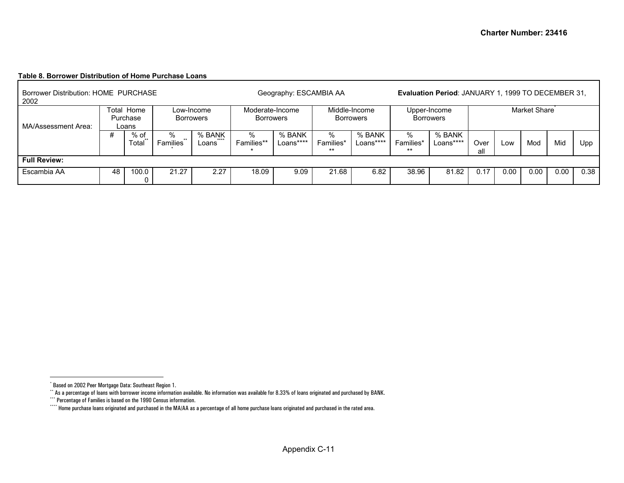#### <span id="page-26-3"></span><span id="page-26-2"></span><span id="page-26-1"></span><span id="page-26-0"></span>**Table 8. Borrower Distribution of Home Purchase Loans**

| Borrower Distribution: HOME PURCHASE<br>2002 |                                 |               |                               |                                |                 | Geography: ESCAMBIA AA              | <b>Evaluation Period: JANUARY 1, 1999 TO DECEMBER 31,</b> |                                   |                      |                                  |              |      |      |      |      |  |
|----------------------------------------------|---------------------------------|---------------|-------------------------------|--------------------------------|-----------------|-------------------------------------|-----------------------------------------------------------|-----------------------------------|----------------------|----------------------------------|--------------|------|------|------|------|--|
| MA/Assessment Area:                          | Total Home<br>Purchase<br>Loans |               |                               | Low-Income<br><b>Borrowers</b> |                 | Moderate-Income<br><b>Borrowers</b> |                                                           | Middle-Income<br><b>Borrowers</b> |                      | Upper-Income<br><b>Borrowers</b> | Market Share |      |      |      |      |  |
|                                              |                                 | % of<br>Total | %<br>$***$<br><b>Families</b> | % BANK<br>$+ + + +$<br>Loans   | %<br>Families** | % BANK<br>Loans****                 | %<br>Families*<br>**                                      | % BANK<br>Loans****               | %<br>Families*<br>** | % BANK<br>Loans****              | Over<br>all  | Low  | Mod  | Mid  | Upp  |  |
| <b>Full Review:</b>                          |                                 |               |                               |                                |                 |                                     |                                                           |                                   |                      |                                  |              |      |      |      |      |  |
| Escambia AA                                  | 48                              | 100.0<br>0    | 21.27<br>2.27                 |                                | 18.09           | 9.09                                | 21.68                                                     | 6.82                              | 38.96                | 81.82                            | 0.17         | 0.00 | 0.00 | 0.00 | 0.38 |  |

<sup>\*</sup> Based on 2002 Peer Mortgage Data: Southeast Region 1.

<sup>\*\*</sup> As a percentage of loans with borrower income information available. No information was available for 8.33% of loans originated and purchased by BANK.

<sup>\*\*\*</sup> Percentage of Families is based on the 1990 Census information.

<sup>\*\*\*\*</sup> Home purchase loans originated and purchased in the MA/AA as a percentage of all home purchase loans originated and purchased in the rated area.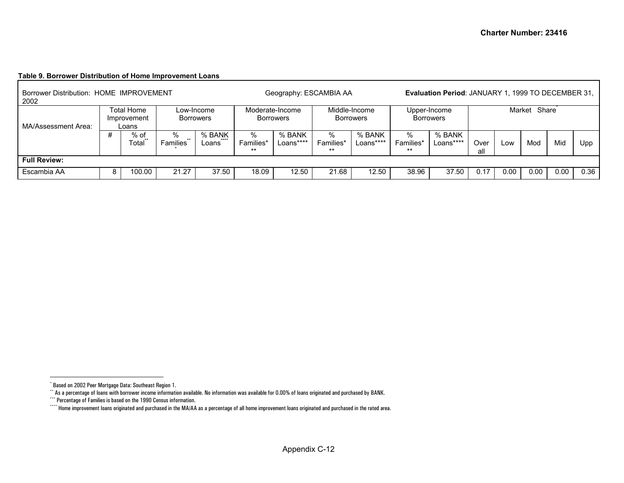#### <span id="page-27-3"></span><span id="page-27-2"></span><span id="page-27-1"></span><span id="page-27-0"></span>**Table 9. Borrower Distribution of Home Improvement Loans**

| Borrower Distribution: HOME IMPROVEMENT<br>2002 |   |                                    |                                |                          | Geography: ESCAMBIA AA              | <b>Evaluation Period: JANUARY 1, 1999 TO DECEMBER 31,</b> |                                   |                     |                                  |                     |              |      |      |      |      |
|-------------------------------------------------|---|------------------------------------|--------------------------------|--------------------------|-------------------------------------|-----------------------------------------------------------|-----------------------------------|---------------------|----------------------------------|---------------------|--------------|------|------|------|------|
| MA/Assessment Area:                             |   | Total Home<br>Improvement<br>Loans | Low-Income<br><b>Borrowers</b> |                          | Moderate-Income<br><b>Borrowers</b> |                                                           | Middle-Income<br><b>Borrowers</b> |                     | Upper-Income<br><b>Borrowers</b> |                     | Market Share |      |      |      |      |
|                                                 |   | % of<br>Total                      | %<br>$***$<br>Families         | % BANK<br>$***$<br>Loans | %<br>Families*<br>**                | % BANK<br>Loans****                                       | %<br>Families*<br>$***$           | % BANK<br>Loans**** | %<br>Families*<br>$***$          | % BANK<br>Loans**** | Over<br>al   | Low  | Mod  | Mid  | Upp  |
| <b>Full Review:</b>                             |   |                                    |                                |                          |                                     |                                                           |                                   |                     |                                  |                     |              |      |      |      |      |
| Escambia AA                                     | 8 | 100.00                             | 21.27                          | 37.50                    | 18.09                               | 12.50                                                     | 21.68                             | 12.50               | 38.96                            | 37.50               | 0.17         | 0.00 | 0.00 | 0.00 | 0.36 |

<sup>\*</sup> Based on 2002 Peer Mortgage Data: Southeast Region 1.

<sup>\*\*</sup> As a percentage of loans with borrower income information available. No information was available for 0.00% of loans originated and purchased by BANK.

<sup>\*\*\*</sup> Percentage of Families is based on the 1990 Census information.

<sup>\*\*\*\*</sup> Home improvement loans originated and purchased in the MA/AA as a percentage of all home improvement loans originated and purchased in the rated area.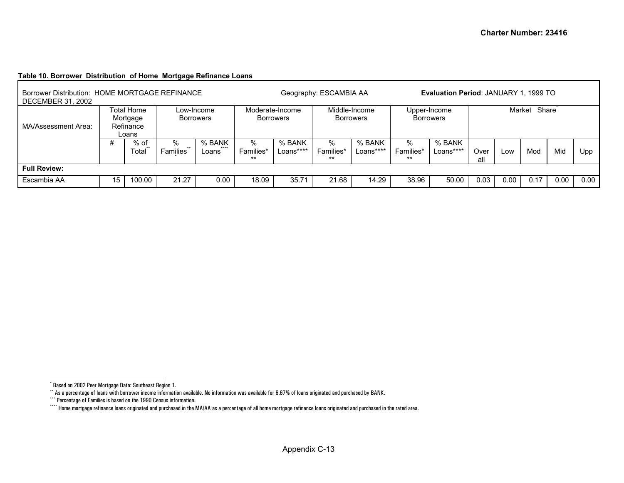### <span id="page-28-3"></span><span id="page-28-2"></span><span id="page-28-1"></span><span id="page-28-0"></span>**Table 10. Borrower Distribution of Home Mortgage Refinance Loans**

| Borrower Distribution: HOME MORTGAGE REFINANCE<br><b>DECEMBER 31, 2002</b> |                                              |               |                                                          |      |                                     |                     | Geography: ESCAMBIA AA                         | <b>Evaluation Period: JANUARY 1, 1999 TO</b> |                                  |                     |              |      |      |      |      |
|----------------------------------------------------------------------------|----------------------------------------------|---------------|----------------------------------------------------------|------|-------------------------------------|---------------------|------------------------------------------------|----------------------------------------------|----------------------------------|---------------------|--------------|------|------|------|------|
| MA/Assessment Area:                                                        | Total Home<br>Mortgage<br>Refinance<br>Loans |               | Low-Income<br><b>Borrowers</b>                           |      | Moderate-Income<br><b>Borrowers</b> |                     | Middle-Income<br><b>Borrowers</b>              |                                              | Upper-Income<br><b>Borrowers</b> |                     | Market Share |      |      |      |      |
|                                                                            | #                                            | % of<br>Total | % BANK<br>%<br>****<br>$***$<br><b>Families</b><br>Loans |      | %<br>Families*<br>$***$             | % BANK<br>Loans**** | % BANK<br>%<br>Families*<br>Loans****<br>$***$ |                                              | %<br>Families*<br>$***$          | % BANK<br>Loans**** |              | Low  | Mod  | Mid  | Upp  |
| <b>Full Review:</b>                                                        |                                              |               |                                                          |      |                                     |                     |                                                |                                              |                                  |                     |              |      |      |      |      |
| Escambia AA                                                                | 15                                           | 100.00        | 21.27                                                    | 0.00 | 18.09                               | 35.71               | 21.68                                          | 14.29                                        | 38.96                            | 50.00               | 0.03         | 0.00 | 0.17 | 0.00 | 0.00 |

<sup>\*</sup> Based on 2002 Peer Mortgage Data: Southeast Region 1.

<sup>\*\*</sup> As a percentage of loans with borrower income information available. No information was available for 6.67% of loans originated and purchased by BANK.

<sup>\*\*\*</sup> Percentage of Families is based on the 1990 Census information.

<sup>\*\*\*\*</sup> Home mortgage refinance loans originated and purchased in the MA/AA as a percentage of all home mortgage refinance loans originated and purchased in the rated area.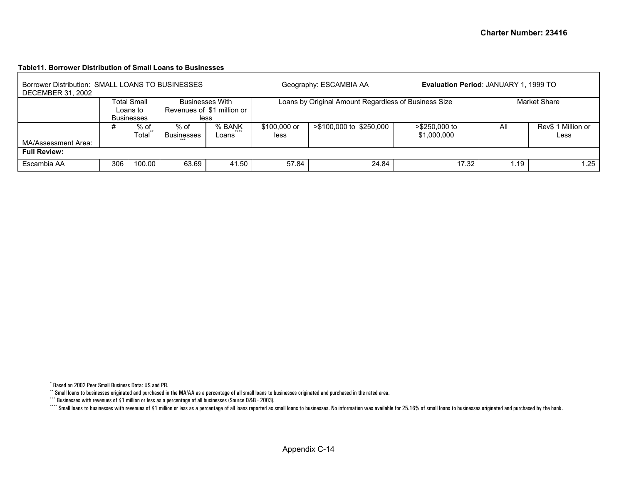#### <span id="page-29-3"></span><span id="page-29-2"></span><span id="page-29-1"></span><span id="page-29-0"></span>**Table11. Borrower Distribution of Small Loans to Businesses**

| Borrower Distribution: SMALL LOANS TO BUSINESSES<br><b>DECEMBER 31, 2002</b> |     |                                                     |                                                              |                 |                      | Geography: ESCAMBIA AA                               | Evaluation Period: JANUARY 1, 1999 TO |      |                            |  |  |  |
|------------------------------------------------------------------------------|-----|-----------------------------------------------------|--------------------------------------------------------------|-----------------|----------------------|------------------------------------------------------|---------------------------------------|------|----------------------------|--|--|--|
|                                                                              |     | <b>Total Small</b><br>Loans to<br><b>Businesses</b> | <b>Businesses With</b><br>Revenues of \$1 million or<br>less |                 |                      | Loans by Original Amount Regardless of Business Size |                                       |      | Market Share <sup>®</sup>  |  |  |  |
| MA/Assessment Area:                                                          | #   | $%$ of<br>Total                                     | % of<br>Businesses                                           | % BANK<br>Loans | \$100,000 or<br>less | >\$100,000 to \$250,000                              | >\$250,000 to<br>\$1,000,000          | All  | Rev\$ 1 Million or<br>Less |  |  |  |
| <b>Full Review:</b>                                                          |     |                                                     |                                                              |                 |                      |                                                      |                                       |      |                            |  |  |  |
| Escambia AA                                                                  | 306 | 100.00                                              | 63.69                                                        | 41.50           | 57.84                | 24.84                                                | 17.32                                 | i.19 | 1.25                       |  |  |  |

<sup>\*</sup> Based on 2002 Peer Small Business Data: US and PR.

<sup>\*\*</sup> Small loans to businesses originated and purchased in the MA/AA as a percentage of all small loans to businesses originated and purchased in the rated area.

<sup>\*\*\*</sup> Businesses with revenues of \$1 million or less as a percentage of all businesses (Source D&B - 2003).

<sup>\*\*\*\*</sup> Small loans to businesses with revenues of \$1 million or less as a percentage of all loans reported as small loans to businesses. No information was available for 25.16% of small loans to businesses originated and pu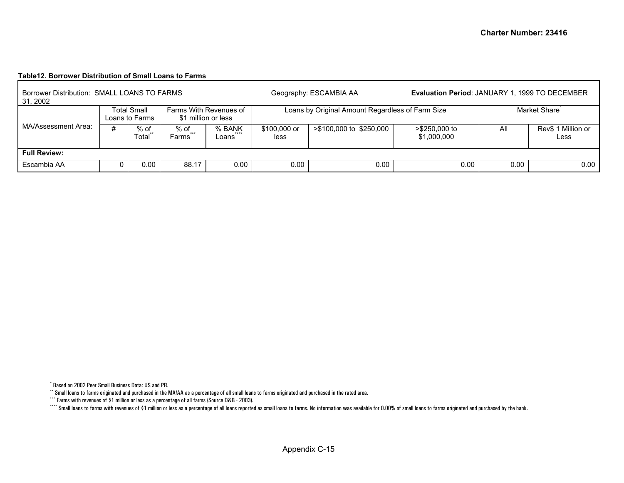#### <span id="page-30-3"></span><span id="page-30-2"></span><span id="page-30-1"></span><span id="page-30-0"></span>**Table12. Borrower Distribution of Small Loans to Farms**

 $\mathbf{r}$ 

| Borrower Distribution: SMALL LOANS TO FARMS<br>31, 2002 |                      |                                      |                                               |                 |                      | Geography: ESCAMBIA AA                           |                              | <b>Evaluation Period: JANUARY 1, 1999 TO DECEMBER</b> |                            |  |  |  |  |
|---------------------------------------------------------|----------------------|--------------------------------------|-----------------------------------------------|-----------------|----------------------|--------------------------------------------------|------------------------------|-------------------------------------------------------|----------------------------|--|--|--|--|
|                                                         |                      | <b>Total Small</b><br>Loans to Farms | Farms With Revenues of<br>\$1 million or less |                 |                      | Loans by Original Amount Regardless of Farm Size |                              |                                                       | Market Share               |  |  |  |  |
| MA/Assessment Area:                                     | $%$ of<br>#<br>Total |                                      | % of<br>$***$<br>Farms                        | % BANK<br>Loans | \$100,000 or<br>less | >\$100,000 to \$250,000                          | >\$250,000 to<br>\$1,000,000 | All                                                   | Rev\$ 1 Million or<br>Less |  |  |  |  |
| <b>Full Review:</b>                                     |                      |                                      |                                               |                 |                      |                                                  |                              |                                                       |                            |  |  |  |  |
| Escambia AA                                             |                      | 0.00                                 | 88.17                                         | 0.00            | 0.00                 | 0.00                                             | 0.00                         | 0.00                                                  | 0.00                       |  |  |  |  |

<sup>\*</sup> Based on 2002 Peer Small Business Data: US and PR.

 $^{\circ}$  Small loans to farms originated and purchased in the MA/AA as a percentage of all small loans to farms originated and purchased in the rated area.

<sup>\*\*\*</sup> Farms with revenues of \$1 million or less as a percentage of all farms (Source D&B - 2003).

Compute to mail loans to farms with revenues of \$1 million or less as a percentage of all loans reported as small loans to farms. No information was available for 0.00% of small loans to farms originated and purchased by t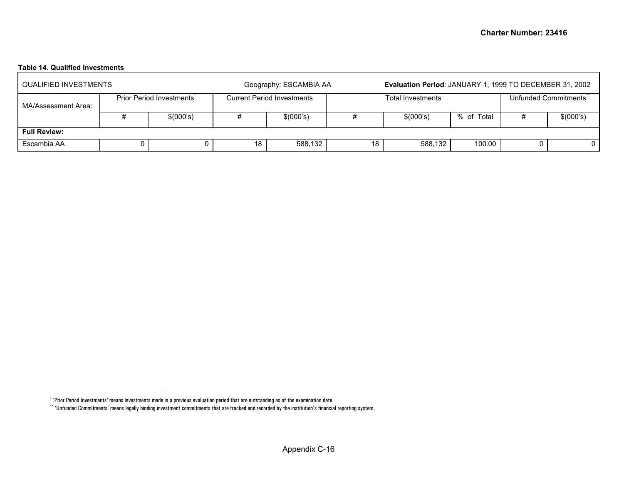# <span id="page-31-1"></span><span id="page-31-0"></span>**Table 14. Qualified Investments**

| QUALIFIED INVESTMENTS |                                 |    | Geography: ESCAMBIA AA            |    | Evaluation Period: JANUARY 1, 1999 TO DECEMBER 31, 2002 |            |                      |           |  |  |  |
|-----------------------|---------------------------------|----|-----------------------------------|----|---------------------------------------------------------|------------|----------------------|-----------|--|--|--|
| MA/Assessment Area:   | <b>Prior Period Investments</b> |    | <b>Current Period Investments</b> |    | <b>Total Investments</b>                                |            | Unfunded Commitments |           |  |  |  |
|                       | \$(000's)                       |    | \$(000's)                         |    | \$(000's)                                               | % of Total |                      | \$(000's) |  |  |  |
| <b>Full Review:</b>   |                                 |    |                                   |    |                                                         |            |                      |           |  |  |  |
| Escambia AA           |                                 | 18 | 588,132                           | 18 | 588,132                                                 | 100.00     |                      |           |  |  |  |

<sup>\* &#</sup>x27;Prior Period Investments' means investments made in a previous evaluation period that are outstanding as of the examination date.

 $``$  'Unfunded Commitments' means legally binding investment commitments that are tracked and recorded by the institution's financial reporting system.